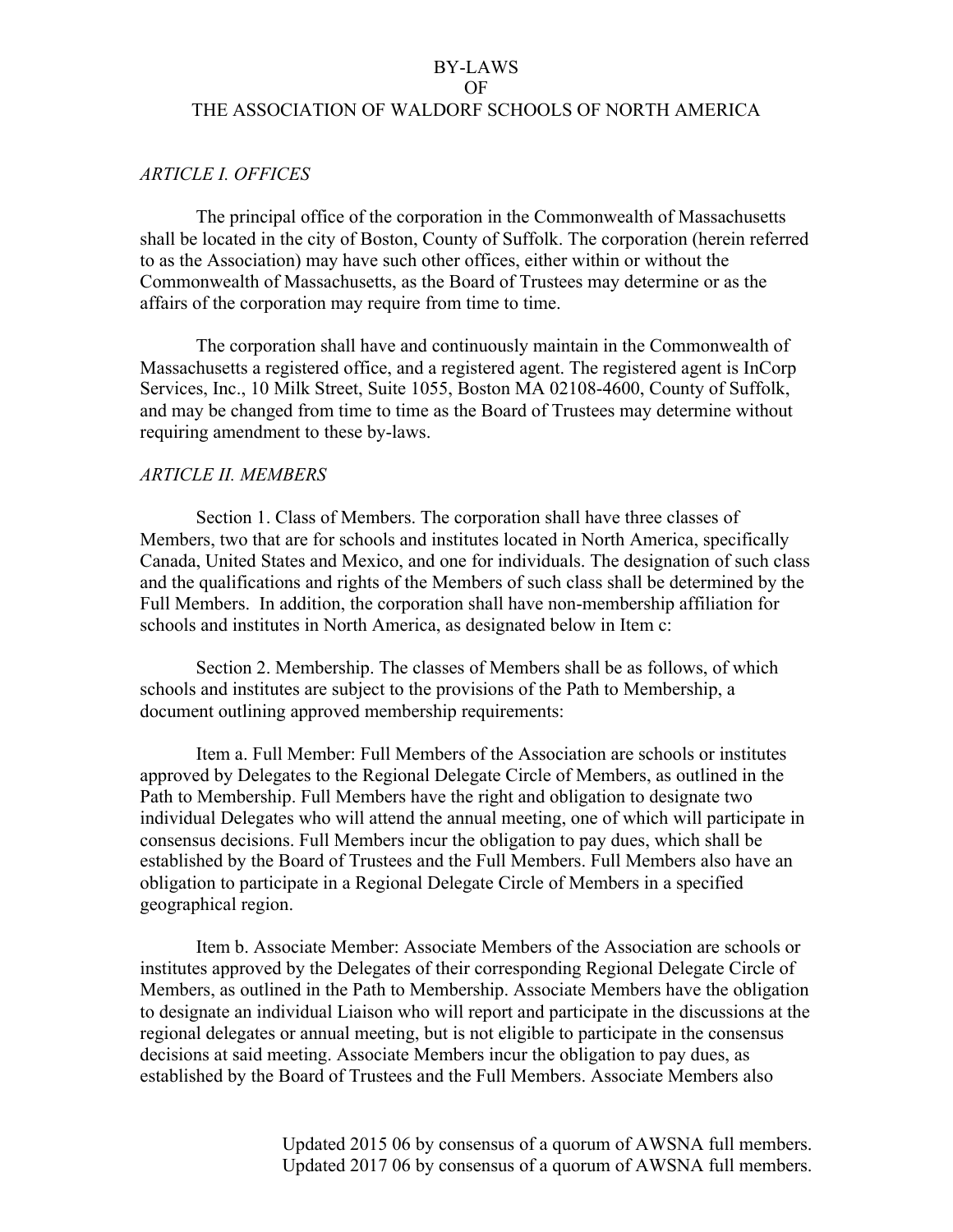### OF

### THE ASSOCIATION OF WALDORF SCHOOLS OF NORTH AMERICA

## *ARTICLE I. OFFICES*

The principal office of the corporation in the Commonwealth of Massachusetts shall be located in the city of Boston, County of Suffolk. The corporation (herein referred to as the Association) may have such other offices, either within or without the Commonwealth of Massachusetts, as the Board of Trustees may determine or as the affairs of the corporation may require from time to time.

The corporation shall have and continuously maintain in the Commonwealth of Massachusetts a registered office, and a registered agent. The registered agent is InCorp Services, Inc., 10 Milk Street, Suite 1055, Boston MA 02108-4600, County of Suffolk, and may be changed from time to time as the Board of Trustees may determine without requiring amendment to these by-laws.

## *ARTICLE II. MEMBERS*

Section 1. Class of Members. The corporation shall have three classes of Members, two that are for schools and institutes located in North America, specifically Canada, United States and Mexico, and one for individuals. The designation of such class and the qualifications and rights of the Members of such class shall be determined by the Full Members. In addition, the corporation shall have non-membership affiliation for schools and institutes in North America, as designated below in Item c:

Section 2. Membership. The classes of Members shall be as follows, of which schools and institutes are subject to the provisions of the Path to Membership, a document outlining approved membership requirements:

Item a. Full Member: Full Members of the Association are schools or institutes approved by Delegates to the Regional Delegate Circle of Members, as outlined in the Path to Membership. Full Members have the right and obligation to designate two individual Delegates who will attend the annual meeting, one of which will participate in consensus decisions. Full Members incur the obligation to pay dues, which shall be established by the Board of Trustees and the Full Members. Full Members also have an obligation to participate in a Regional Delegate Circle of Members in a specified geographical region.

Item b. Associate Member: Associate Members of the Association are schools or institutes approved by the Delegates of their corresponding Regional Delegate Circle of Members, as outlined in the Path to Membership. Associate Members have the obligation to designate an individual Liaison who will report and participate in the discussions at the regional delegates or annual meeting, but is not eligible to participate in the consensus decisions at said meeting. Associate Members incur the obligation to pay dues, as established by the Board of Trustees and the Full Members. Associate Members also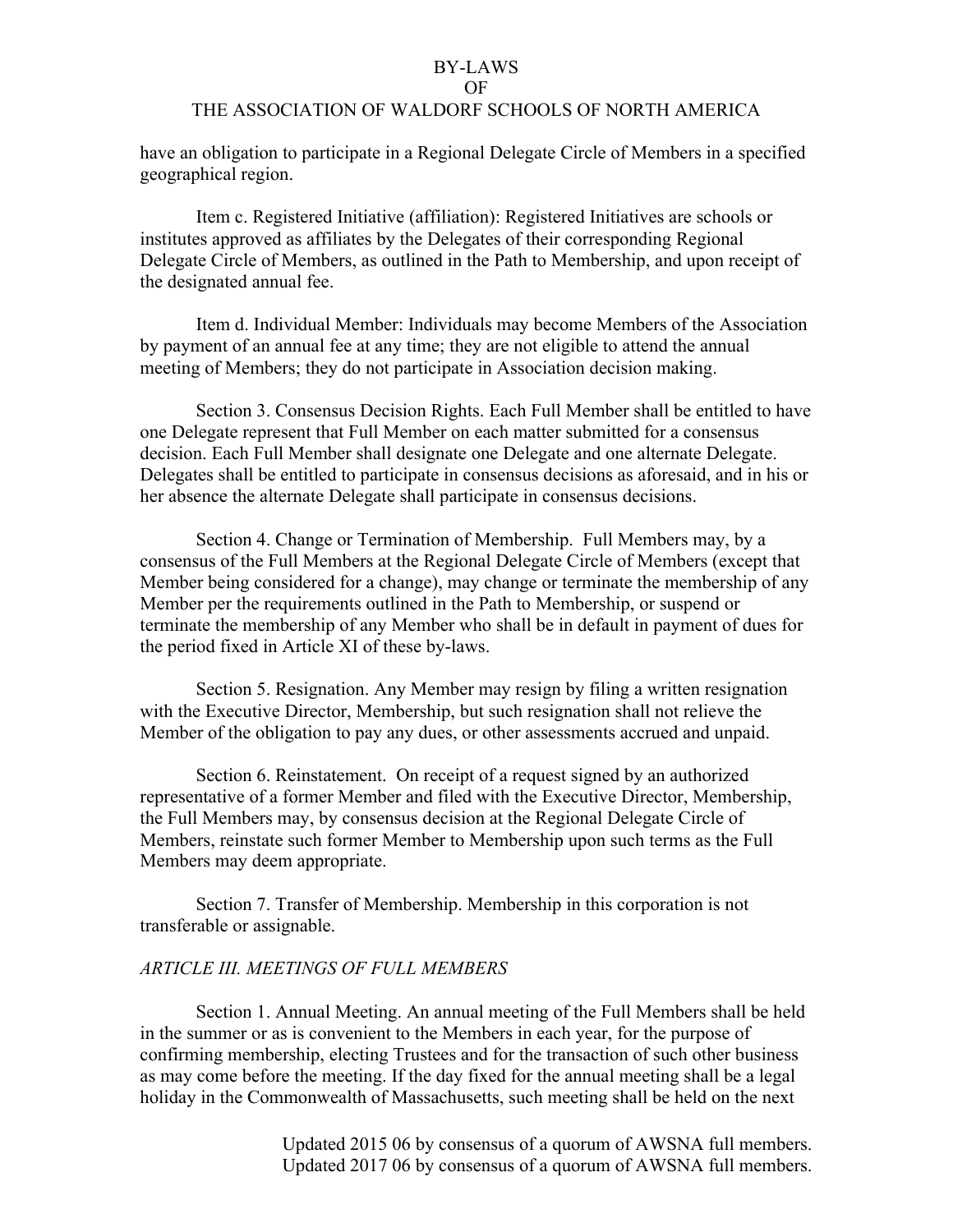#### OF

## THE ASSOCIATION OF WALDORF SCHOOLS OF NORTH AMERICA

have an obligation to participate in a Regional Delegate Circle of Members in a specified geographical region.

Item c. Registered Initiative (affiliation): Registered Initiatives are schools or institutes approved as affiliates by the Delegates of their corresponding Regional Delegate Circle of Members, as outlined in the Path to Membership, and upon receipt of the designated annual fee.

Item d. Individual Member: Individuals may become Members of the Association by payment of an annual fee at any time; they are not eligible to attend the annual meeting of Members; they do not participate in Association decision making.

Section 3. Consensus Decision Rights. Each Full Member shall be entitled to have one Delegate represent that Full Member on each matter submitted for a consensus decision. Each Full Member shall designate one Delegate and one alternate Delegate. Delegates shall be entitled to participate in consensus decisions as aforesaid, and in his or her absence the alternate Delegate shall participate in consensus decisions.

Section 4. Change or Termination of Membership. Full Members may, by a consensus of the Full Members at the Regional Delegate Circle of Members (except that Member being considered for a change), may change or terminate the membership of any Member per the requirements outlined in the Path to Membership, or suspend or terminate the membership of any Member who shall be in default in payment of dues for the period fixed in Article XI of these by-laws.

Section 5. Resignation. Any Member may resign by filing a written resignation with the Executive Director, Membership, but such resignation shall not relieve the Member of the obligation to pay any dues, or other assessments accrued and unpaid.

Section 6. Reinstatement. On receipt of a request signed by an authorized representative of a former Member and filed with the Executive Director, Membership, the Full Members may, by consensus decision at the Regional Delegate Circle of Members, reinstate such former Member to Membership upon such terms as the Full Members may deem appropriate.

Section 7. Transfer of Membership. Membership in this corporation is not transferable or assignable.

## *ARTICLE III. MEETINGS OF FULL MEMBERS*

Section 1. Annual Meeting. An annual meeting of the Full Members shall be held in the summer or as is convenient to the Members in each year, for the purpose of confirming membership, electing Trustees and for the transaction of such other business as may come before the meeting. If the day fixed for the annual meeting shall be a legal holiday in the Commonwealth of Massachusetts, such meeting shall be held on the next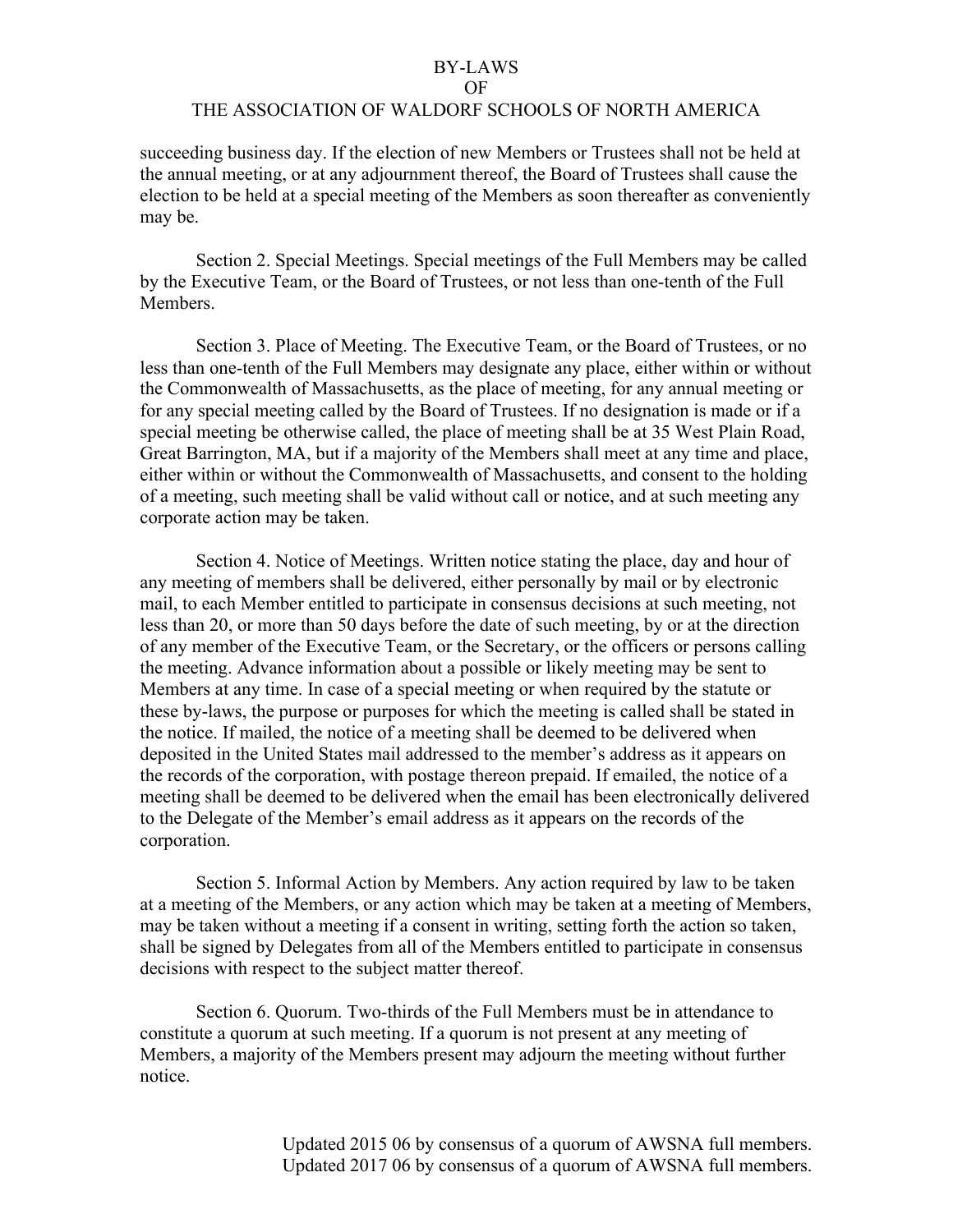#### OF

## THE ASSOCIATION OF WALDORF SCHOOLS OF NORTH AMERICA

succeeding business day. If the election of new Members or Trustees shall not be held at the annual meeting, or at any adjournment thereof, the Board of Trustees shall cause the election to be held at a special meeting of the Members as soon thereafter as conveniently may be.

Section 2. Special Meetings. Special meetings of the Full Members may be called by the Executive Team, or the Board of Trustees, or not less than one-tenth of the Full **Members** 

Section 3. Place of Meeting. The Executive Team, or the Board of Trustees, or no less than one-tenth of the Full Members may designate any place, either within or without the Commonwealth of Massachusetts, as the place of meeting, for any annual meeting or for any special meeting called by the Board of Trustees. If no designation is made or if a special meeting be otherwise called, the place of meeting shall be at 35 West Plain Road, Great Barrington, MA, but if a majority of the Members shall meet at any time and place, either within or without the Commonwealth of Massachusetts, and consent to the holding of a meeting, such meeting shall be valid without call or notice, and at such meeting any corporate action may be taken.

Section 4. Notice of Meetings. Written notice stating the place, day and hour of any meeting of members shall be delivered, either personally by mail or by electronic mail, to each Member entitled to participate in consensus decisions at such meeting, not less than 20, or more than 50 days before the date of such meeting, by or at the direction of any member of the Executive Team, or the Secretary, or the officers or persons calling the meeting. Advance information about a possible or likely meeting may be sent to Members at any time. In case of a special meeting or when required by the statute or these by-laws, the purpose or purposes for which the meeting is called shall be stated in the notice. If mailed, the notice of a meeting shall be deemed to be delivered when deposited in the United States mail addressed to the member's address as it appears on the records of the corporation, with postage thereon prepaid. If emailed, the notice of a meeting shall be deemed to be delivered when the email has been electronically delivered to the Delegate of the Member's email address as it appears on the records of the corporation.

Section 5. Informal Action by Members. Any action required by law to be taken at a meeting of the Members, or any action which may be taken at a meeting of Members, may be taken without a meeting if a consent in writing, setting forth the action so taken, shall be signed by Delegates from all of the Members entitled to participate in consensus decisions with respect to the subject matter thereof.

Section 6. Quorum. Two-thirds of the Full Members must be in attendance to constitute a quorum at such meeting. If a quorum is not present at any meeting of Members, a majority of the Members present may adjourn the meeting without further notice.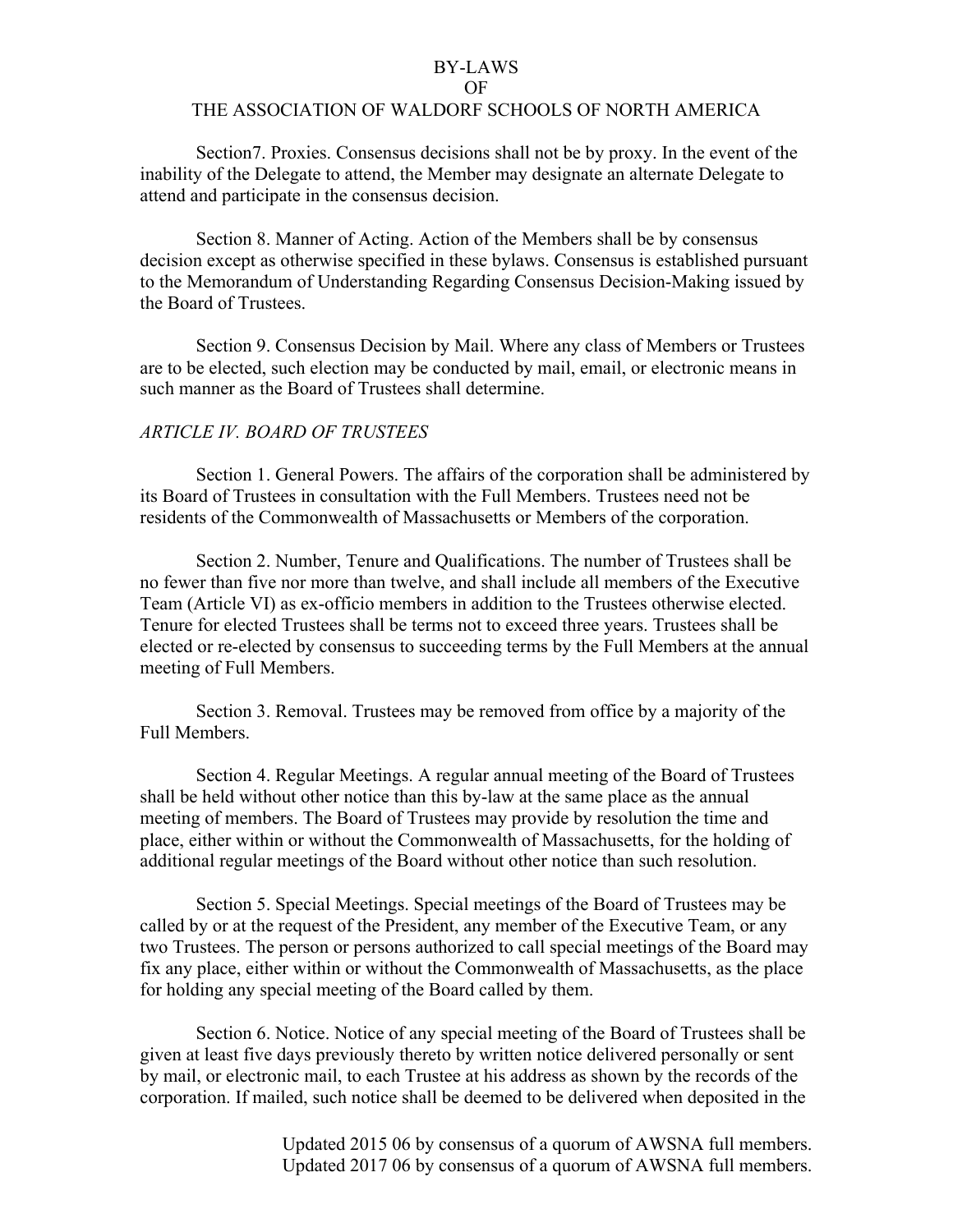#### OF

### THE ASSOCIATION OF WALDORF SCHOOLS OF NORTH AMERICA

Section7. Proxies. Consensus decisions shall not be by proxy. In the event of the inability of the Delegate to attend, the Member may designate an alternate Delegate to attend and participate in the consensus decision.

Section 8. Manner of Acting. Action of the Members shall be by consensus decision except as otherwise specified in these bylaws. Consensus is established pursuant to the Memorandum of Understanding Regarding Consensus Decision-Making issued by the Board of Trustees.

Section 9. Consensus Decision by Mail. Where any class of Members or Trustees are to be elected, such election may be conducted by mail, email, or electronic means in such manner as the Board of Trustees shall determine.

## *ARTICLE IV. BOARD OF TRUSTEES*

Section 1. General Powers. The affairs of the corporation shall be administered by its Board of Trustees in consultation with the Full Members. Trustees need not be residents of the Commonwealth of Massachusetts or Members of the corporation.

Section 2. Number, Tenure and Qualifications. The number of Trustees shall be no fewer than five nor more than twelve, and shall include all members of the Executive Team (Article VI) as ex-officio members in addition to the Trustees otherwise elected. Tenure for elected Trustees shall be terms not to exceed three years. Trustees shall be elected or re-elected by consensus to succeeding terms by the Full Members at the annual meeting of Full Members.

Section 3. Removal. Trustees may be removed from office by a majority of the Full Members.

Section 4. Regular Meetings. A regular annual meeting of the Board of Trustees shall be held without other notice than this by-law at the same place as the annual meeting of members. The Board of Trustees may provide by resolution the time and place, either within or without the Commonwealth of Massachusetts, for the holding of additional regular meetings of the Board without other notice than such resolution.

Section 5. Special Meetings. Special meetings of the Board of Trustees may be called by or at the request of the President, any member of the Executive Team, or any two Trustees. The person or persons authorized to call special meetings of the Board may fix any place, either within or without the Commonwealth of Massachusetts, as the place for holding any special meeting of the Board called by them.

Section 6. Notice. Notice of any special meeting of the Board of Trustees shall be given at least five days previously thereto by written notice delivered personally or sent by mail, or electronic mail, to each Trustee at his address as shown by the records of the corporation. If mailed, such notice shall be deemed to be delivered when deposited in the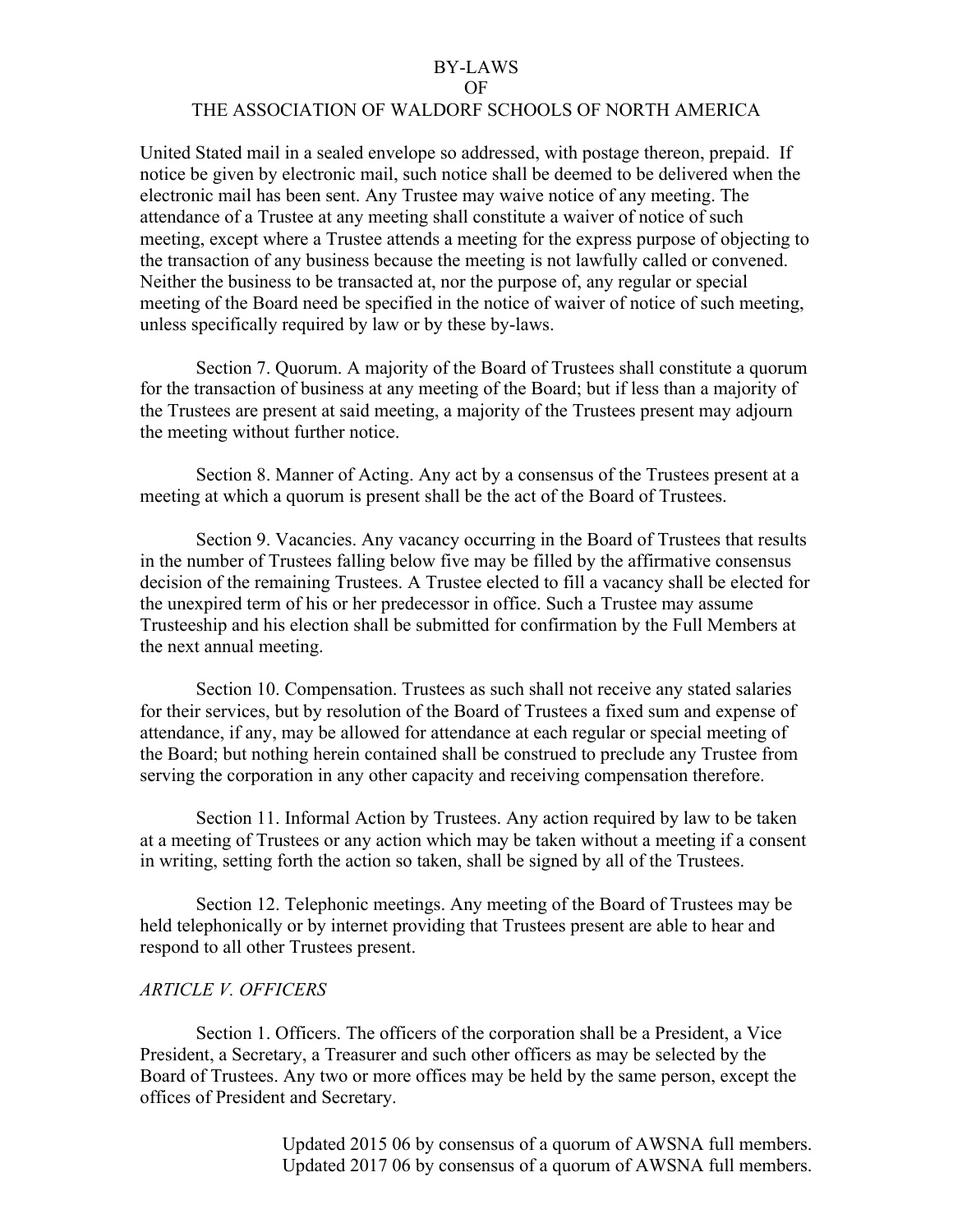#### OF

## THE ASSOCIATION OF WALDORF SCHOOLS OF NORTH AMERICA

United Stated mail in a sealed envelope so addressed, with postage thereon, prepaid. If notice be given by electronic mail, such notice shall be deemed to be delivered when the electronic mail has been sent. Any Trustee may waive notice of any meeting. The attendance of a Trustee at any meeting shall constitute a waiver of notice of such meeting, except where a Trustee attends a meeting for the express purpose of objecting to the transaction of any business because the meeting is not lawfully called or convened. Neither the business to be transacted at, nor the purpose of, any regular or special meeting of the Board need be specified in the notice of waiver of notice of such meeting, unless specifically required by law or by these by-laws.

Section 7. Quorum. A majority of the Board of Trustees shall constitute a quorum for the transaction of business at any meeting of the Board; but if less than a majority of the Trustees are present at said meeting, a majority of the Trustees present may adjourn the meeting without further notice.

Section 8. Manner of Acting. Any act by a consensus of the Trustees present at a meeting at which a quorum is present shall be the act of the Board of Trustees.

Section 9. Vacancies. Any vacancy occurring in the Board of Trustees that results in the number of Trustees falling below five may be filled by the affirmative consensus decision of the remaining Trustees. A Trustee elected to fill a vacancy shall be elected for the unexpired term of his or her predecessor in office. Such a Trustee may assume Trusteeship and his election shall be submitted for confirmation by the Full Members at the next annual meeting.

Section 10. Compensation. Trustees as such shall not receive any stated salaries for their services, but by resolution of the Board of Trustees a fixed sum and expense of attendance, if any, may be allowed for attendance at each regular or special meeting of the Board; but nothing herein contained shall be construed to preclude any Trustee from serving the corporation in any other capacity and receiving compensation therefore.

Section 11. Informal Action by Trustees. Any action required by law to be taken at a meeting of Trustees or any action which may be taken without a meeting if a consent in writing, setting forth the action so taken, shall be signed by all of the Trustees.

Section 12. Telephonic meetings. Any meeting of the Board of Trustees may be held telephonically or by internet providing that Trustees present are able to hear and respond to all other Trustees present.

#### *ARTICLE V. OFFICERS*

Section 1. Officers. The officers of the corporation shall be a President, a Vice President, a Secretary, a Treasurer and such other officers as may be selected by the Board of Trustees. Any two or more offices may be held by the same person, except the offices of President and Secretary.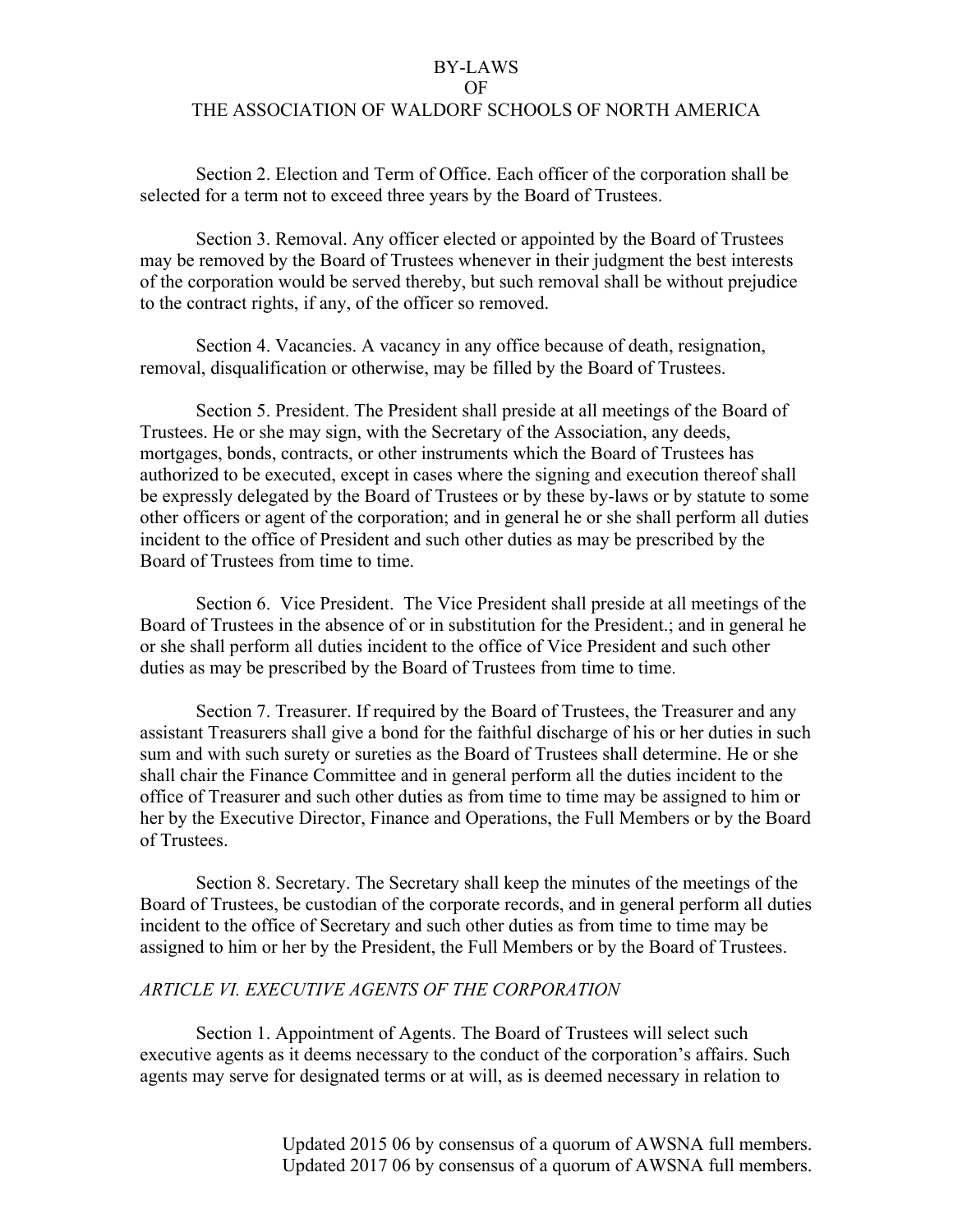OF

## THE ASSOCIATION OF WALDORF SCHOOLS OF NORTH AMERICA

Section 2. Election and Term of Office. Each officer of the corporation shall be selected for a term not to exceed three years by the Board of Trustees.

Section 3. Removal. Any officer elected or appointed by the Board of Trustees may be removed by the Board of Trustees whenever in their judgment the best interests of the corporation would be served thereby, but such removal shall be without prejudice to the contract rights, if any, of the officer so removed.

Section 4. Vacancies. A vacancy in any office because of death, resignation, removal, disqualification or otherwise, may be filled by the Board of Trustees.

Section 5. President. The President shall preside at all meetings of the Board of Trustees. He or she may sign, with the Secretary of the Association, any deeds, mortgages, bonds, contracts, or other instruments which the Board of Trustees has authorized to be executed, except in cases where the signing and execution thereof shall be expressly delegated by the Board of Trustees or by these by-laws or by statute to some other officers or agent of the corporation; and in general he or she shall perform all duties incident to the office of President and such other duties as may be prescribed by the Board of Trustees from time to time.

Section 6. Vice President. The Vice President shall preside at all meetings of the Board of Trustees in the absence of or in substitution for the President.; and in general he or she shall perform all duties incident to the office of Vice President and such other duties as may be prescribed by the Board of Trustees from time to time.

Section 7. Treasurer. If required by the Board of Trustees, the Treasurer and any assistant Treasurers shall give a bond for the faithful discharge of his or her duties in such sum and with such surety or sureties as the Board of Trustees shall determine. He or she shall chair the Finance Committee and in general perform all the duties incident to the office of Treasurer and such other duties as from time to time may be assigned to him or her by the Executive Director, Finance and Operations, the Full Members or by the Board of Trustees.

Section 8. Secretary. The Secretary shall keep the minutes of the meetings of the Board of Trustees, be custodian of the corporate records, and in general perform all duties incident to the office of Secretary and such other duties as from time to time may be assigned to him or her by the President, the Full Members or by the Board of Trustees.

#### *ARTICLE VI. EXECUTIVE AGENTS OF THE CORPORATION*

Section 1. Appointment of Agents. The Board of Trustees will select such executive agents as it deems necessary to the conduct of the corporation's affairs. Such agents may serve for designated terms or at will, as is deemed necessary in relation to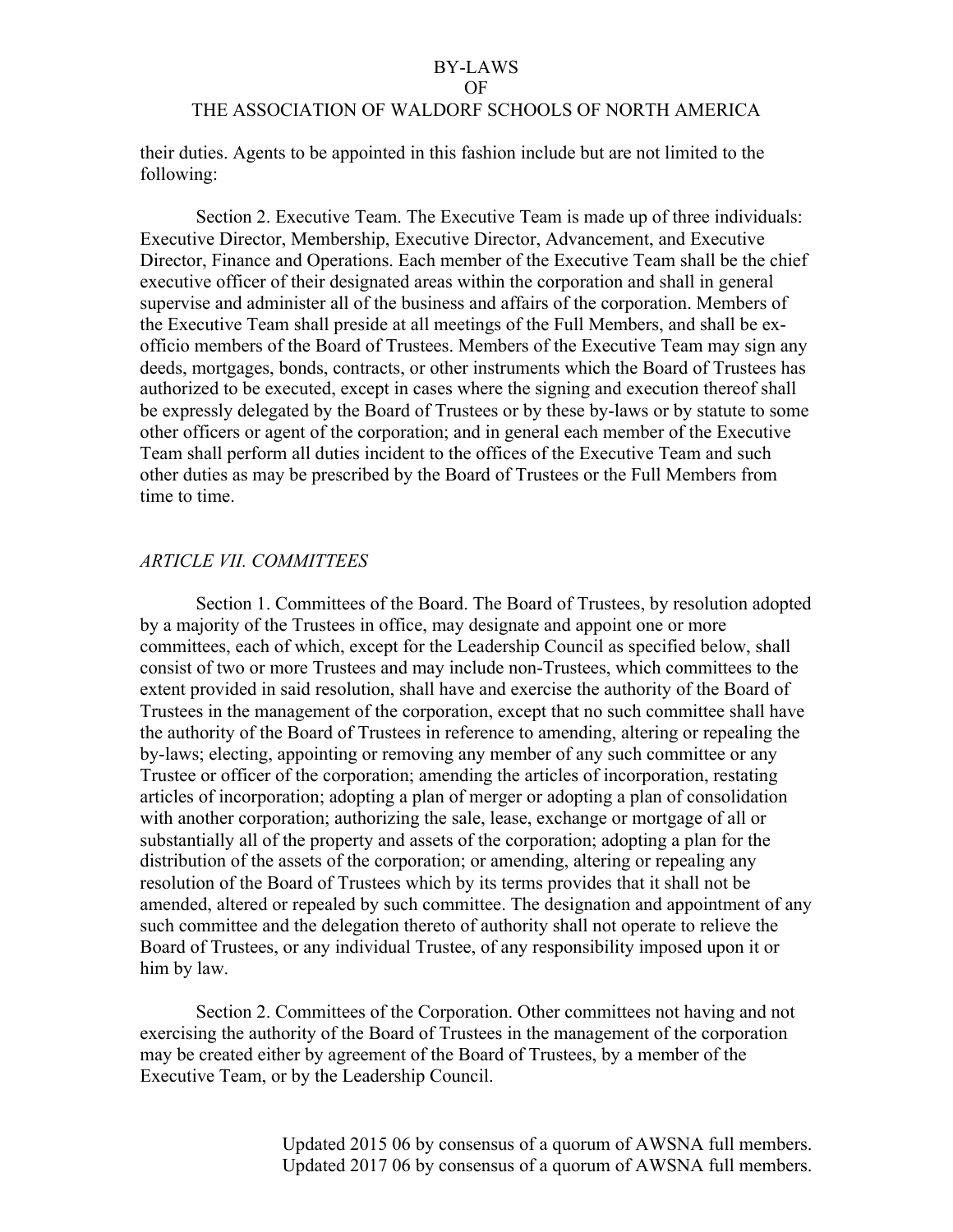#### OF

## THE ASSOCIATION OF WALDORF SCHOOLS OF NORTH AMERICA

their duties. Agents to be appointed in this fashion include but are not limited to the following:

Section 2. Executive Team. The Executive Team is made up of three individuals: Executive Director, Membership, Executive Director, Advancement, and Executive Director, Finance and Operations. Each member of the Executive Team shall be the chief executive officer of their designated areas within the corporation and shall in general supervise and administer all of the business and affairs of the corporation. Members of the Executive Team shall preside at all meetings of the Full Members, and shall be exofficio members of the Board of Trustees. Members of the Executive Team may sign any deeds, mortgages, bonds, contracts, or other instruments which the Board of Trustees has authorized to be executed, except in cases where the signing and execution thereof shall be expressly delegated by the Board of Trustees or by these by-laws or by statute to some other officers or agent of the corporation; and in general each member of the Executive Team shall perform all duties incident to the offices of the Executive Team and such other duties as may be prescribed by the Board of Trustees or the Full Members from time to time.

## *ARTICLE VII. COMMITTEES*

Section 1. Committees of the Board. The Board of Trustees, by resolution adopted by a majority of the Trustees in office, may designate and appoint one or more committees, each of which, except for the Leadership Council as specified below, shall consist of two or more Trustees and may include non-Trustees, which committees to the extent provided in said resolution, shall have and exercise the authority of the Board of Trustees in the management of the corporation, except that no such committee shall have the authority of the Board of Trustees in reference to amending, altering or repealing the by-laws; electing, appointing or removing any member of any such committee or any Trustee or officer of the corporation; amending the articles of incorporation, restating articles of incorporation; adopting a plan of merger or adopting a plan of consolidation with another corporation; authorizing the sale, lease, exchange or mortgage of all or substantially all of the property and assets of the corporation; adopting a plan for the distribution of the assets of the corporation; or amending, altering or repealing any resolution of the Board of Trustees which by its terms provides that it shall not be amended, altered or repealed by such committee. The designation and appointment of any such committee and the delegation thereto of authority shall not operate to relieve the Board of Trustees, or any individual Trustee, of any responsibility imposed upon it or him by law.

Section 2. Committees of the Corporation. Other committees not having and not exercising the authority of the Board of Trustees in the management of the corporation may be created either by agreement of the Board of Trustees, by a member of the Executive Team, or by the Leadership Council.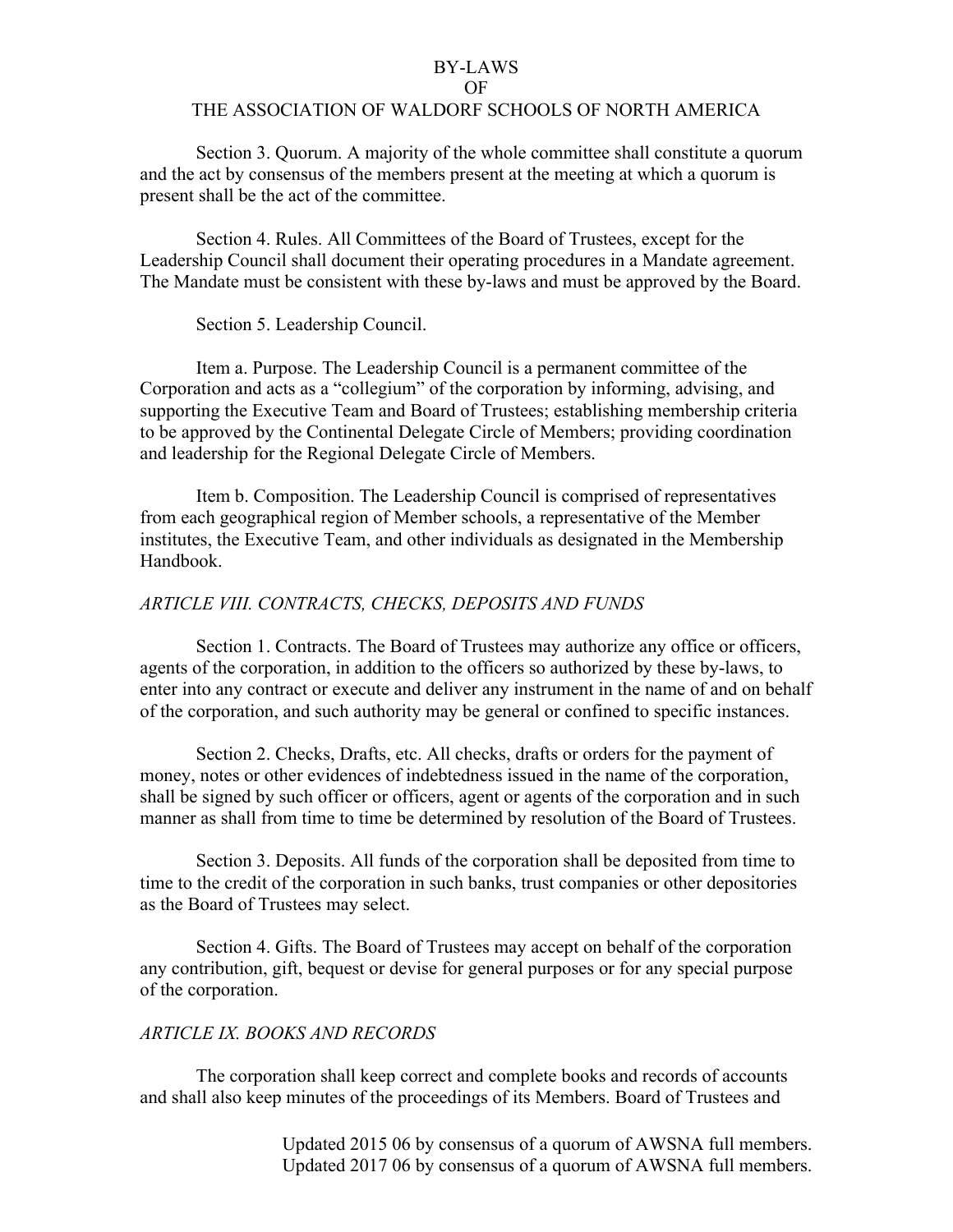#### OF

## THE ASSOCIATION OF WALDORF SCHOOLS OF NORTH AMERICA

Section 3. Quorum. A majority of the whole committee shall constitute a quorum and the act by consensus of the members present at the meeting at which a quorum is present shall be the act of the committee.

Section 4. Rules. All Committees of the Board of Trustees, except for the Leadership Council shall document their operating procedures in a Mandate agreement. The Mandate must be consistent with these by-laws and must be approved by the Board.

Section 5. Leadership Council.

Item a. Purpose. The Leadership Council is a permanent committee of the Corporation and acts as a "collegium" of the corporation by informing, advising, and supporting the Executive Team and Board of Trustees; establishing membership criteria to be approved by the Continental Delegate Circle of Members; providing coordination and leadership for the Regional Delegate Circle of Members.

Item b. Composition. The Leadership Council is comprised of representatives from each geographical region of Member schools, a representative of the Member institutes, the Executive Team, and other individuals as designated in the Membership Handbook.

## *ARTICLE VIII. CONTRACTS, CHECKS, DEPOSITS AND FUNDS*

Section 1. Contracts. The Board of Trustees may authorize any office or officers, agents of the corporation, in addition to the officers so authorized by these by-laws, to enter into any contract or execute and deliver any instrument in the name of and on behalf of the corporation, and such authority may be general or confined to specific instances.

Section 2. Checks, Drafts, etc. All checks, drafts or orders for the payment of money, notes or other evidences of indebtedness issued in the name of the corporation, shall be signed by such officer or officers, agent or agents of the corporation and in such manner as shall from time to time be determined by resolution of the Board of Trustees.

Section 3. Deposits. All funds of the corporation shall be deposited from time to time to the credit of the corporation in such banks, trust companies or other depositories as the Board of Trustees may select.

Section 4. Gifts. The Board of Trustees may accept on behalf of the corporation any contribution, gift, bequest or devise for general purposes or for any special purpose of the corporation.

## *ARTICLE IX. BOOKS AND RECORDS*

The corporation shall keep correct and complete books and records of accounts and shall also keep minutes of the proceedings of its Members. Board of Trustees and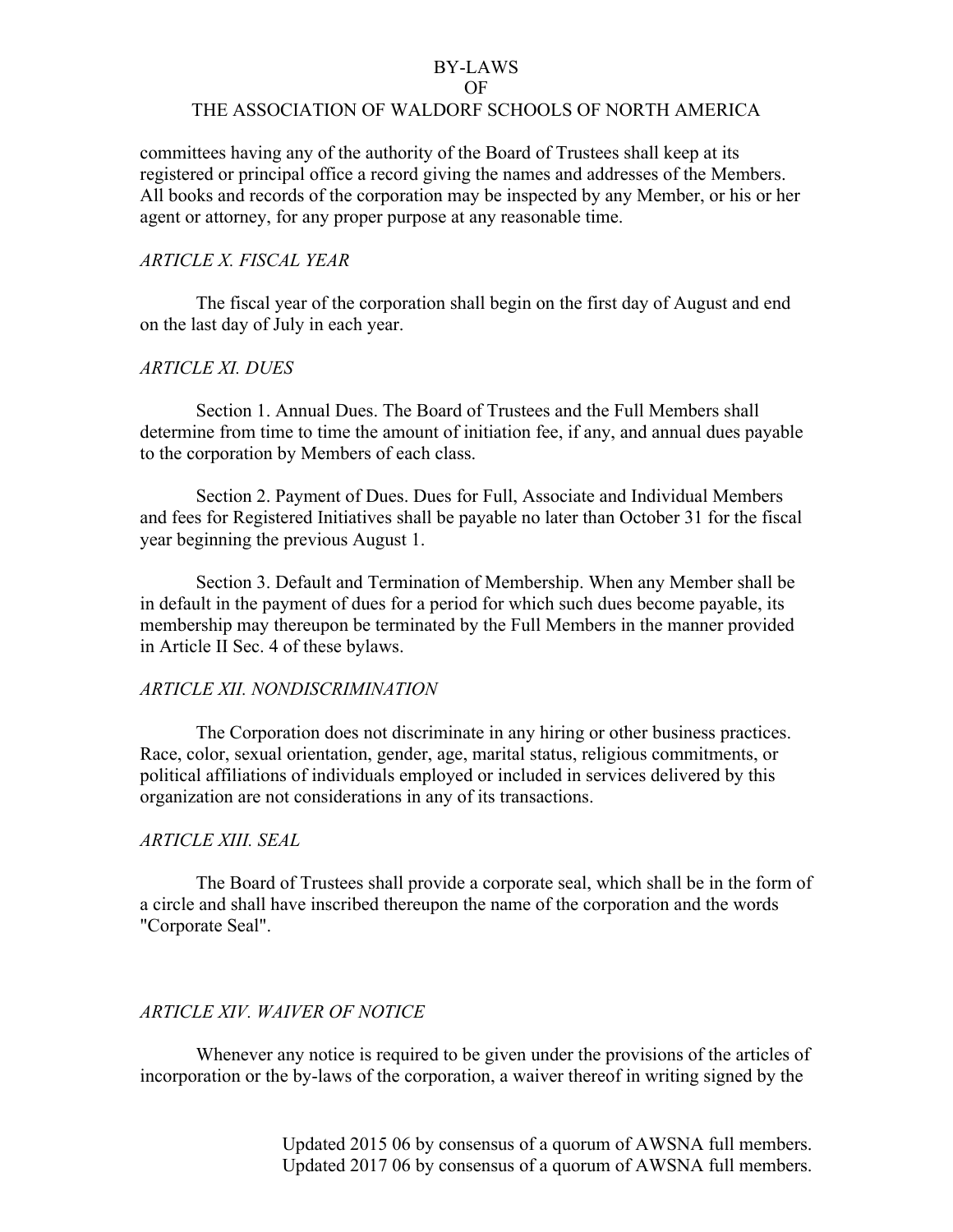#### OF

### THE ASSOCIATION OF WALDORF SCHOOLS OF NORTH AMERICA

committees having any of the authority of the Board of Trustees shall keep at its registered or principal office a record giving the names and addresses of the Members. All books and records of the corporation may be inspected by any Member, or his or her agent or attorney, for any proper purpose at any reasonable time.

## *ARTICLE X. FISCAL YEAR*

The fiscal year of the corporation shall begin on the first day of August and end on the last day of July in each year.

### *ARTICLE XI. DUES*

Section 1. Annual Dues. The Board of Trustees and the Full Members shall determine from time to time the amount of initiation fee, if any, and annual dues payable to the corporation by Members of each class.

Section 2. Payment of Dues. Dues for Full, Associate and Individual Members and fees for Registered Initiatives shall be payable no later than October 31 for the fiscal year beginning the previous August 1.

Section 3. Default and Termination of Membership. When any Member shall be in default in the payment of dues for a period for which such dues become payable, its membership may thereupon be terminated by the Full Members in the manner provided in Article II Sec. 4 of these bylaws.

## *ARTICLE XII. NONDISCRIMINATION*

The Corporation does not discriminate in any hiring or other business practices. Race, color, sexual orientation, gender, age, marital status, religious commitments, or political affiliations of individuals employed or included in services delivered by this organization are not considerations in any of its transactions.

## *ARTICLE XIII. SEAL*

The Board of Trustees shall provide a corporate seal, which shall be in the form of a circle and shall have inscribed thereupon the name of the corporation and the words "Corporate Seal".

## *ARTICLE XIV. WAIVER OF NOTICE*

Whenever any notice is required to be given under the provisions of the articles of incorporation or the by-laws of the corporation, a waiver thereof in writing signed by the